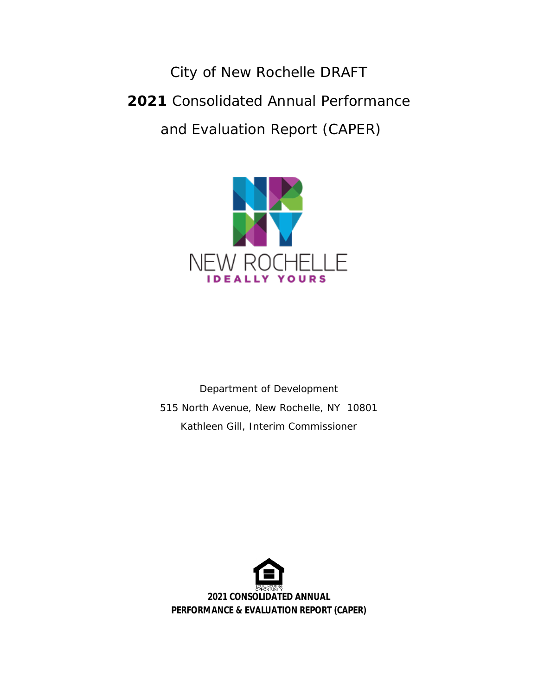City of New Rochelle DRAFT **2021** Consolidated Annual Performance and Evaluation Report (CAPER)



Department of Development 515 North Avenue, New Rochelle, NY 10801 Kathleen Gill, Interim Commissioner

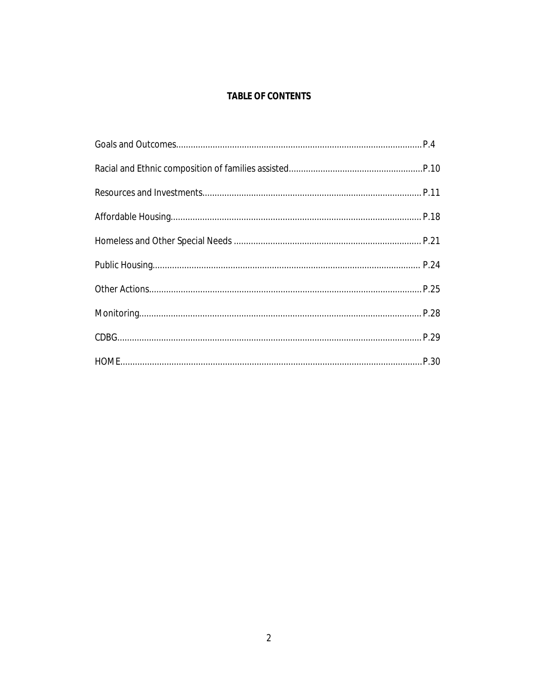## **TABLE OF CONTENTS**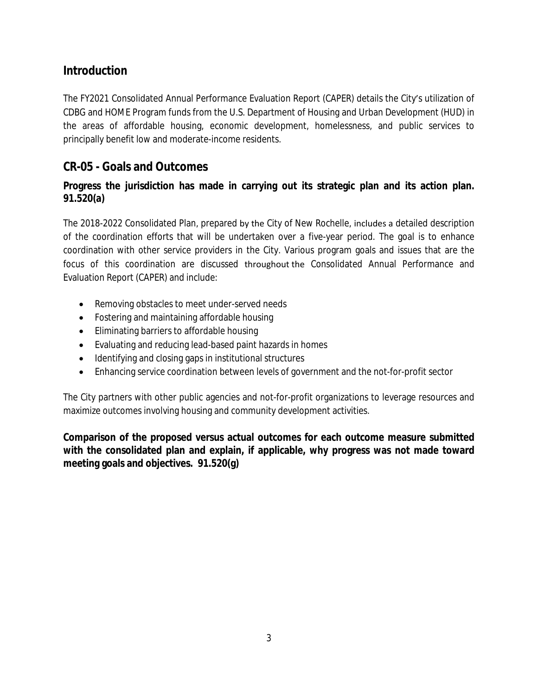# **Introduction**

The FY2021 Consolidated Annual Performance Evaluation Report (CAPER) details the City's utilization of CDBG and HOME Program funds from the U.S. Department of Housing and Urban Development (HUD) in the areas of affordable housing, economic development, homelessness, and public services to principally benefit low and moderate-income residents.

# **CR-05 - Goals and Outcomes**

## **Progress the jurisdiction has made in carrying out its strategic plan and its action plan. 91.520(a)**

The 2018-2022 Consolidated Plan, prepared by the City of New Rochelle, includes a detailed description of the coordination efforts that will be undertaken over a five-year period. The goal is to enhance coordination with other service providers in the City. Various program goals and issues that are the focus of this coordination are discussed throughout the Consolidated Annual Performance and Evaluation Report (CAPER) and include:

- Removing obstacles to meet under-served needs
- Fostering and maintaining affordable housing
- Eliminating barriers to affordable housing
- Evaluating and reducing lead-based paint hazards in homes
- Identifying and closing gaps in institutional structures
- Enhancing service coordination between levels of government and the not-for-profit sector

The City partners with other public agencies and not-for-profit organizations to leverage resources and maximize outcomes involving housing and community development activities.

**Comparison of the proposed versus actual outcomes for each outcome measure submitted with the consolidated plan and explain, if applicable, why progress was not made toward meeting goals and objectives. 91.520(g)**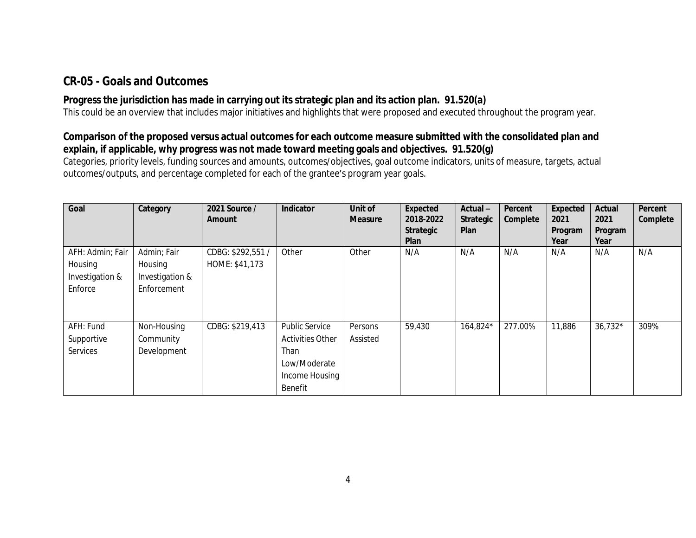# **CR-05 - Goals and Outcomes**

## **Progress the jurisdiction has made in carrying out its strategic plan and its action plan. 91.520(a)**

This could be an overview that includes major initiatives and highlights that were proposed and executed throughout the program year.

## **Comparison of the proposed versus actual outcomes for each outcome measure submitted with the consolidated plan and explain, if applicable, why progress was not made toward meeting goals and objectives. 91.520(g)**

Categories, priority levels, funding sources and amounts, outcomes/objectives, goal outcome indicators, units of measure, targets, actual outcomes/outputs, and percentage completed for each of the grantee's program year goals.

| Goal                                                      | Category                                                 | 2021 Source /<br>Amount             | Indicator                                                                                             | Unit of<br><b>Measure</b> | Expected<br>2018-2022<br><b>Strategic</b><br><b>Plan</b> | $Actual -$<br><b>Strategic</b><br>Plan | Percent<br>Complete | Expected<br>2021<br>Program<br>Year | Actual<br>2021<br>Program<br>Year | Percent<br>Complete |
|-----------------------------------------------------------|----------------------------------------------------------|-------------------------------------|-------------------------------------------------------------------------------------------------------|---------------------------|----------------------------------------------------------|----------------------------------------|---------------------|-------------------------------------|-----------------------------------|---------------------|
| AFH: Admin; Fair<br>Housing<br>Investigation &<br>Enforce | Admin; Fair<br>Housing<br>Investigation &<br>Enforcement | CDBG: \$292,551 /<br>HOME: \$41,173 | Other                                                                                                 | Other                     | N/A                                                      | N/A                                    | N/A                 | N/A                                 | N/A                               | N/A                 |
| AFH: Fund<br>Supportive<br>Services                       | Non-Housing<br>Community<br>Development                  | CDBG: \$219,413                     | <b>Public Service</b><br><b>Activities Other</b><br>Than<br>Low/Moderate<br>Income Housing<br>Benefit | Persons<br>Assisted       | 59,430                                                   | 164,824*                               | 277.00%             | 11,886                              | $36,732*$                         | 309%                |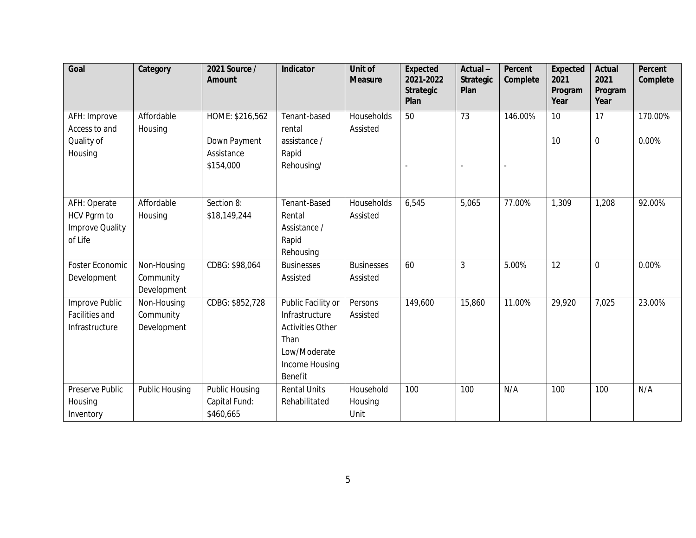| Goal                                                             | Category                                | 2021 Source /<br>Amount                                    | Indicator                                                                                                            | Unit of<br><b>Measure</b>     | <b>Expected</b><br>2021-2022<br><b>Strategic</b><br>Plan | Actual-<br><b>Strategic</b><br>Plan | Percent<br>Complete | Expected<br>2021<br>Program<br>Year | <b>Actual</b><br>2021<br>Program<br>Year | Percent<br>Complete |
|------------------------------------------------------------------|-----------------------------------------|------------------------------------------------------------|----------------------------------------------------------------------------------------------------------------------|-------------------------------|----------------------------------------------------------|-------------------------------------|---------------------|-------------------------------------|------------------------------------------|---------------------|
| AFH: Improve<br>Access to and<br>Quality of<br>Housing           | Affordable<br>Housing                   | HOME: \$216,562<br>Down Payment<br>Assistance<br>\$154,000 | Tenant-based<br>rental<br>assistance /<br>Rapid<br>Rehousing/                                                        | Households<br>Assisted        | 50                                                       | 73                                  | 146.00%             | 10<br>10                            | 17<br>$\mathbf 0$                        | 170.00%<br>0.00%    |
| AFH: Operate<br>HCV Pgrm to<br><b>Improve Quality</b><br>of Life | Affordable<br>Housing                   | Section 8:<br>\$18,149,244                                 | Tenant-Based<br>Rental<br>Assistance /<br>Rapid<br>Rehousing                                                         | Households<br>Assisted        | 6,545                                                    | 5,065                               | 77.00%              | 1,309                               | 1,208                                    | 92.00%              |
| Foster Economic<br>Development                                   | Non-Housing<br>Community<br>Development | CDBG: \$98,064                                             | <b>Businesses</b><br>Assisted                                                                                        | <b>Businesses</b><br>Assisted | 60                                                       | 3                                   | 5.00%               | 12                                  | $\overline{0}$                           | 0.00%               |
| Improve Public<br>Facilities and<br>Infrastructure               | Non-Housing<br>Community<br>Development | CDBG: \$852,728                                            | Public Facility or<br>Infrastructure<br><b>Activities Other</b><br>Than<br>Low/Moderate<br>Income Housing<br>Benefit | Persons<br>Assisted           | 149,600                                                  | 15,860                              | 11.00%              | 29,920                              | 7,025                                    | 23.00%              |
| Preserve Public<br>Housing<br>Inventory                          | Public Housing                          | Public Housing<br>Capital Fund:<br>\$460,665               | <b>Rental Units</b><br>Rehabilitated                                                                                 | Household<br>Housing<br>Unit  | 100                                                      | 100                                 | N/A                 | 100                                 | 100                                      | N/A                 |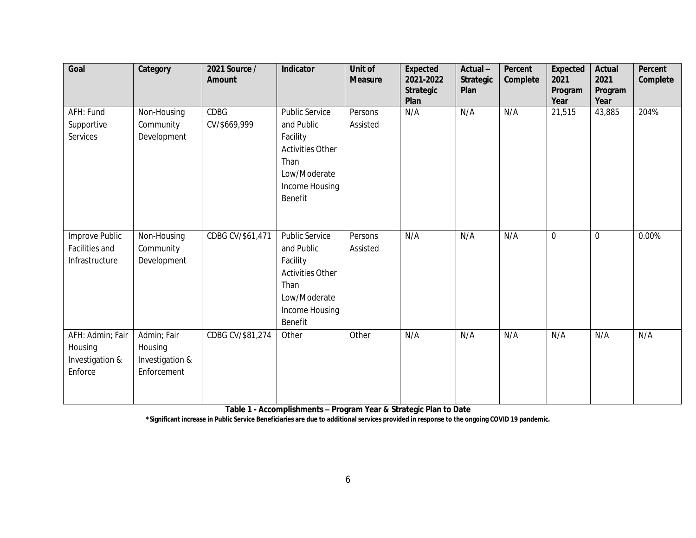| Goal                                                      | Category                                                 | 2021 Source /<br>Amount     | Indicator                                                                                                                       | Unit of<br><b>Measure</b> | <b>Expected</b><br>2021-2022<br><b>Strategic</b><br>Plan | Actual-<br><b>Strategic</b><br>Plan | Percent<br>Complete | <b>Expected</b><br>2021<br>Program<br>Year | Actual<br>2021<br>Program<br>Year | Percent<br>Complete |
|-----------------------------------------------------------|----------------------------------------------------------|-----------------------------|---------------------------------------------------------------------------------------------------------------------------------|---------------------------|----------------------------------------------------------|-------------------------------------|---------------------|--------------------------------------------|-----------------------------------|---------------------|
| AFH: Fund<br>Supportive<br>Services                       | Non-Housing<br>Community<br>Development                  | <b>CDBG</b><br>CV/\$669,999 | Public Service<br>and Public<br>Facility<br><b>Activities Other</b><br>Than<br>Low/Moderate<br>Income Housing<br>Benefit        | Persons<br>Assisted       | N/A                                                      | N/A                                 | N/A                 | 21,515                                     | 43,885                            | 204%                |
| Improve Public<br>Facilities and<br>Infrastructure        | Non-Housing<br>Community<br>Development                  | CDBG CV/\$61,471            | <b>Public Service</b><br>and Public<br>Facility<br><b>Activities Other</b><br>Than<br>Low/Moderate<br>Income Housing<br>Benefit | Persons<br>Assisted       | N/A                                                      | N/A                                 | N/A                 | $\overline{0}$                             | $\mathbf 0$                       | 0.00%               |
| AFH: Admin; Fair<br>Housing<br>Investigation &<br>Enforce | Admin; Fair<br>Housing<br>Investigation &<br>Enforcement | CDBG CV/\$81,274            | Other                                                                                                                           | Other                     | N/A                                                      | N/A                                 | N/A                 | N/A                                        | N/A                               | N/A                 |

**Table 1 - Accomplishments – Program Year & Strategic Plan to Date**

**\*Significant increase in Public Service Beneficiaries are due to additional services provided in response to the ongoing COVID 19 pandemic.**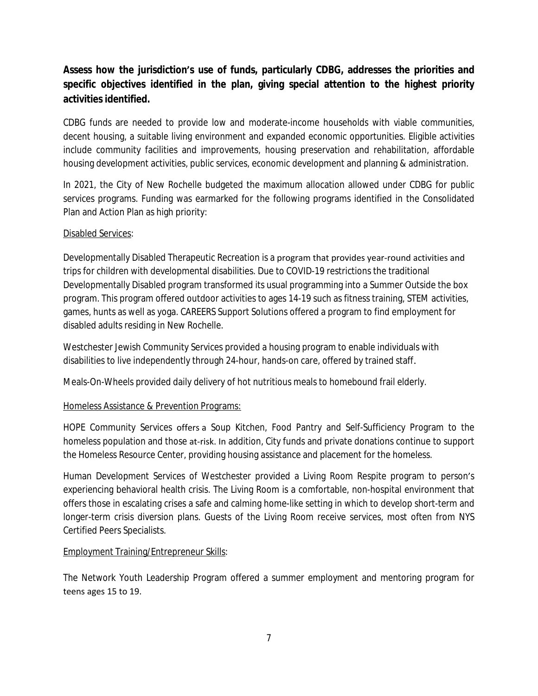## **Assess how the jurisdiction's use of funds, particularly CDBG, addresses the priorities and specific objectives identified in the plan, giving special attention to the highest priority activities identified.**

CDBG funds are needed to provide low and moderate-income households with viable communities, decent housing, a suitable living environment and expanded economic opportunities. Eligible activities include community facilities and improvements, housing preservation and rehabilitation, affordable housing development activities, public services, economic development and planning & administration.

In 2021, the City of New Rochelle budgeted the maximum allocation allowed under CDBG for public services programs. Funding was earmarked for the following programs identified in the Consolidated Plan and Action Plan as high priority:

#### Disabled Services:

Developmentally Disabled Therapeutic Recreation is a program that provides year-round activities and trips for children with developmental disabilities. Due to COVID-19 restrictions the traditional Developmentally Disabled program transformed its usual programming into a Summer Outside the box program. This program offered outdoor activities to ages 14-19 such as fitness training, STEM activities, games, hunts as well as yoga. CAREERS Support Solutions offered a program to find employment for disabled adults residing in New Rochelle.

Westchester Jewish Community Services provided a housing program to enable individuals with disabilities to live independently through 24-hour, hands-on care, offered by trained staff.

Meals-On-Wheels provided daily delivery of hot nutritious meals to homebound frail elderly.

### Homeless Assistance & Prevention Programs:

HOPE Community Services offers a Soup Kitchen, Food Pantry and Self-Sufficiency Program to the homeless population and those at-risk. In addition, City funds and private donations continue to support the Homeless Resource Center, providing housing assistance and placement for the homeless.

Human Development Services of Westchester provided a Living Room Respite program to person's experiencing behavioral health crisis. The Living Room is a comfortable, non-hospital environment that offers those in escalating crises a safe and calming home-like setting in which to develop short-term and longer-term crisis diversion plans. Guests of the Living Room receive services, most often from NYS Certified Peers Specialists.

#### Employment Training/Entrepreneur Skills:

The Network Youth Leadership Program offered a summer employment and mentoring program for teens ages 15 to 19.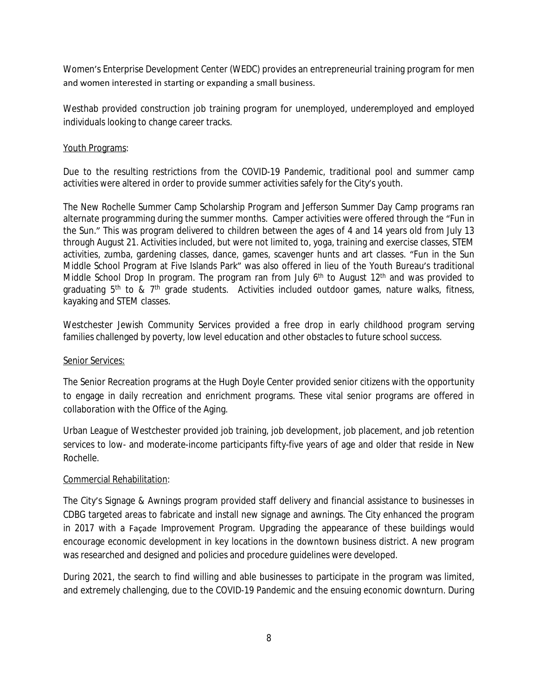Women's Enterprise Development Center (WEDC) provides an entrepreneurial training program for men and women interested in starting or expanding a small business.

Westhab provided construction job training program for unemployed, underemployed and employed individuals looking to change career tracks.

#### Youth Programs:

Due to the resulting restrictions from the COVID-19 Pandemic, traditional pool and summer camp activities were altered in order to provide summer activities safely for the City's youth.

The New Rochelle Summer Camp Scholarship Program and Jefferson Summer Day Camp programs ran alternate programming during the summer months. Camper activities were offered through the "Fun in the Sun." This was program delivered to children between the ages of 4 and 14 years old from July 13 through August 21. Activities included, but were not limited to, yoga, training and exercise classes, STEM activities, zumba, gardening classes, dance, games, scavenger hunts and art classes. "Fun in the Sun Middle School Program at Five Islands Park" was also offered in lieu of the Youth Bureau's traditional Middle School Drop In program. The program ran from July 6<sup>th</sup> to August 12<sup>th</sup> and was provided to graduating 5<sup>th</sup> to & 7<sup>th</sup> grade students. Activities included outdoor games, nature walks, fitness, kayaking and STEM classes.

Westchester Jewish Community Services provided a free drop in early childhood program serving families challenged by poverty, low level education and other obstacles to future school success.

#### Senior Services:

The Senior Recreation programs at the Hugh Doyle Center provided senior citizens with the opportunity to engage in daily recreation and enrichment programs. These vital senior programs are offered in collaboration with the Office of the Aging.

Urban League of Westchester provided job training, job development, job placement, and job retention services to low- and moderate-income participants fifty-five years of age and older that reside in New Rochelle.

#### Commercial Rehabilitation:

The City's Signage & Awnings program provided staff delivery and financial assistance to businesses in CDBG targeted areas to fabricate and install new signage and awnings. The City enhanced the program in 2017 with a Façade Improvement Program. Upgrading the appearance of these buildings would encourage economic development in key locations in the downtown business district. A new program was researched and designed and policies and procedure guidelines were developed.

During 2021, the search to find willing and able businesses to participate in the program was limited, and extremely challenging, due to the COVID-19 Pandemic and the ensuing economic downturn. During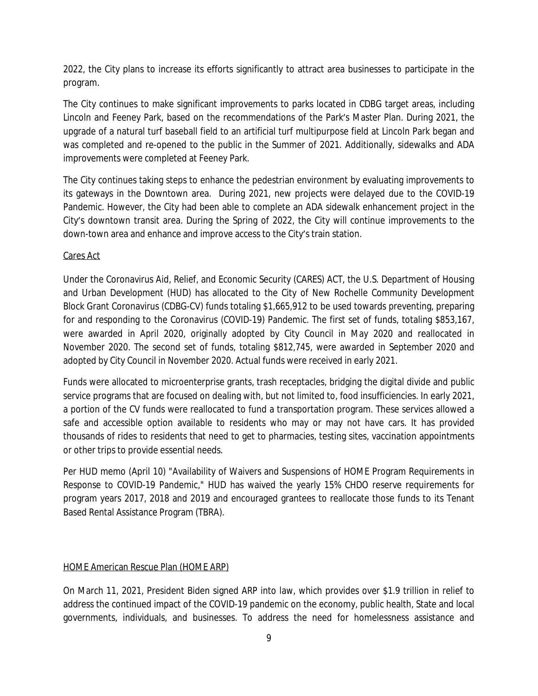2022, the City plans to increase its efforts significantly to attract area businesses to participate in the program.

The City continues to make significant improvements to parks located in CDBG target areas, including Lincoln and Feeney Park, based on the recommendations of the Park's Master Plan. During 2021, the upgrade of a natural turf baseball field to an artificial turf multipurpose field at Lincoln Park began and was completed and re-opened to the public in the Summer of 2021. Additionally, sidewalks and ADA improvements were completed at Feeney Park.

The City continues taking steps to enhance the pedestrian environment by evaluating improvements to its gateways in the Downtown area. During 2021, new projects were delayed due to the COVID-19 Pandemic. However, the City had been able to complete an ADA sidewalk enhancement project in the City's downtown transit area. During the Spring of 2022, the City will continue improvements to the down-town area and enhance and improve access to the City's train station.

#### Cares Act

Under the Coronavirus Aid, Relief, and Economic Security (CARES) ACT, the U.S. Department of Housing and Urban Development (HUD) has allocated to the City of New Rochelle Community Development Block Grant Coronavirus (CDBG-CV) funds totaling \$1,665,912 to be used towards preventing, preparing for and responding to the Coronavirus (COVID-19) Pandemic. The first set of funds, totaling \$853,167, were awarded in April 2020, originally adopted by City Council in May 2020 and reallocated in November 2020. The second set of funds, totaling \$812,745, were awarded in September 2020 and adopted by City Council in November 2020. Actual funds were received in early 2021.

Funds were allocated to microenterprise grants, trash receptacles, bridging the digital divide and public service programs that are focused on dealing with, but not limited to, food insufficiencies. In early 2021, a portion of the CV funds were reallocated to fund a transportation program. These services allowed a safe and accessible option available to residents who may or may not have cars. It has provided thousands of rides to residents that need to get to pharmacies, testing sites, vaccination appointments or other trips to provide essential needs.

Per HUD memo (April 10) "Availability of Waivers and Suspensions of HOME Program Requirements in Response to COVID-19 Pandemic," HUD has waived the yearly 15% CHDO reserve requirements for program years 2017, 2018 and 2019 and encouraged grantees to reallocate those funds to its Tenant Based Rental Assistance Program (TBRA).

#### HOME American Rescue Plan (HOME ARP)

On March 11, 2021, President Biden signed ARP into law, which provides over \$1.9 trillion in relief to address the continued impact of the COVID-19 pandemic on the economy, public health, State and local governments, individuals, and businesses. To address the need for homelessness assistance and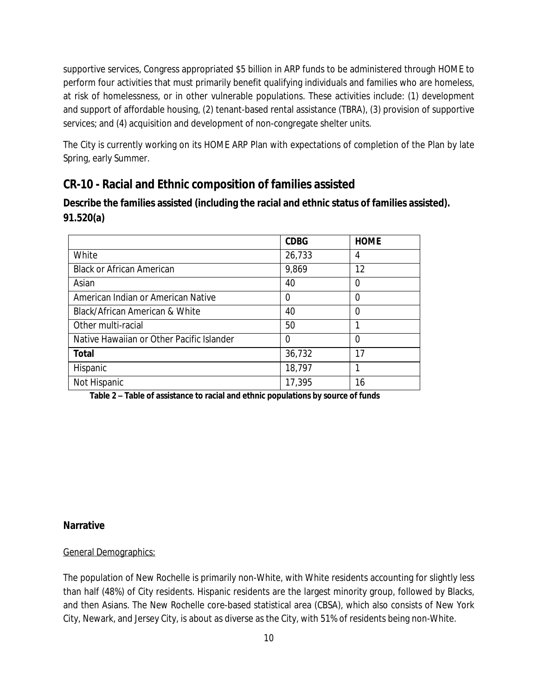supportive services, Congress appropriated \$5 billion in ARP funds to be administered through HOME to perform four activities that must primarily benefit qualifying individuals and families who are homeless, at risk of homelessness, or in other vulnerable populations. These activities include: (1) development and support of affordable housing, (2) tenant-based rental assistance (TBRA), (3) provision of supportive services; and (4) acquisition and development of non-congregate shelter units.

The City is currently working on its HOME ARP Plan with expectations of completion of the Plan by late Spring, early Summer.

# **CR-10 - Racial and Ethnic composition of families assisted**

**Describe the families assisted (including the racial and ethnic status of families assisted). 91.520(a)** 

|                                           | <b>CDBG</b> | <b>HOME</b> |
|-------------------------------------------|-------------|-------------|
| White                                     | 26,733      | 4           |
| <b>Black or African American</b>          | 9,869       | 12          |
| Asian                                     | 40          | 0           |
| American Indian or American Native        | 0           | 0           |
| Black/African American & White            | 40          | 0           |
| Other multi-racial                        | 50          |             |
| Native Hawaiian or Other Pacific Islander | 0           | 0           |
| <b>Total</b>                              | 36,732      | 17          |
| Hispanic                                  | 18,797      |             |
| Not Hispanic                              | 17,395      | 16          |

**Table 2 – Table of assistance to racial and ethnic populations by source of funds**

### **Narrative**

#### General Demographics:

The population of New Rochelle is primarily non-White, with White residents accounting for slightly less than half (48%) of City residents. Hispanic residents are the largest minority group, followed by Blacks, and then Asians. The New Rochelle core-based statistical area (CBSA), which also consists of New York City, Newark, and Jersey City, is about as diverse as the City, with 51% of residents being non-White.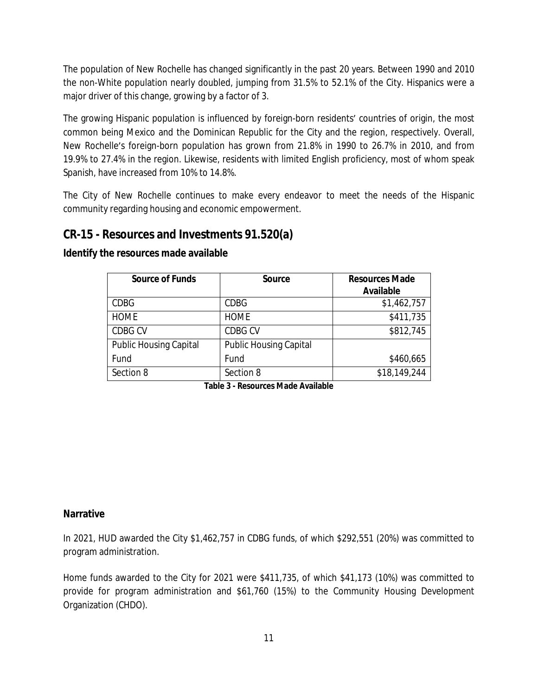The population of New Rochelle has changed significantly in the past 20 years. Between 1990 and 2010 the non-White population nearly doubled, jumping from 31.5% to 52.1% of the City. Hispanics were a major driver of this change, growing by a factor of 3.

The growing Hispanic population is influenced by foreign-born residents' countries of origin, the most common being Mexico and the Dominican Republic for the City and the region, respectively. Overall, New Rochelle's foreign-born population has grown from 21.8% in 1990 to 26.7% in 2010, and from 19.9% to 27.4% in the region. Likewise, residents with limited English proficiency, most of whom speak Spanish, have increased from 10% to 14.8%.

The City of New Rochelle continues to make every endeavor to meet the needs of the Hispanic community regarding housing and economic empowerment.

## **CR-15 - Resources and Investments 91.520(a)**

| <b>Source of Funds</b>        | <b>Source</b>                 | <b>Resources Made</b> |
|-------------------------------|-------------------------------|-----------------------|
|                               |                               | Available             |
| <b>CDBG</b>                   | <b>CDBG</b>                   | \$1,462,757           |
| <b>HOME</b>                   | <b>HOME</b>                   | \$411,735             |
| CDBG CV                       | <b>CDBG CV</b>                | \$812,745             |
| <b>Public Housing Capital</b> | <b>Public Housing Capital</b> |                       |
| Fund                          | Fund                          | \$460,665             |
| Section 8                     | Section 8                     | \$18,149,244          |

#### **Identify the resources made available**

**Table 3 - Resources Made Available**

### **Narrative**

In 2021, HUD awarded the City \$1,462,757 in CDBG funds, of which \$292,551 (20%) was committed to program administration.

Home funds awarded to the City for 2021 were \$411,735, of which \$41,173 (10%) was committed to provide for program administration and \$61,760 (15%) to the Community Housing Development Organization (CHDO).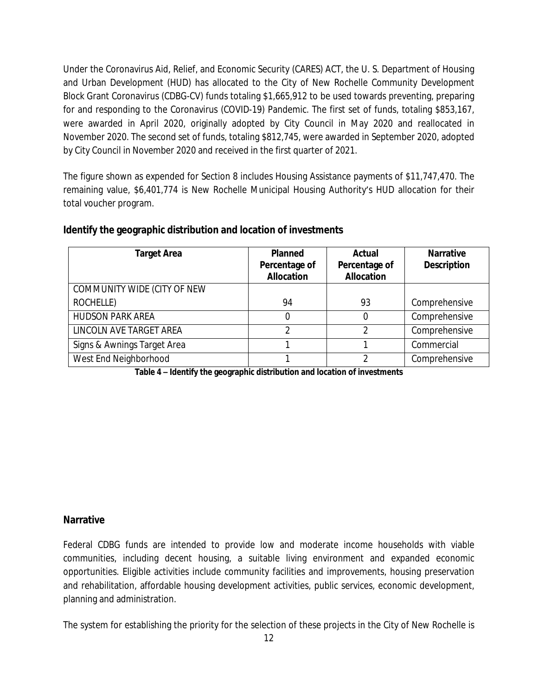Under the Coronavirus Aid, Relief, and Economic Security (CARES) ACT, the U. S. Department of Housing and Urban Development (HUD) has allocated to the City of New Rochelle Community Development Block Grant Coronavirus (CDBG-CV) funds totaling \$1,665,912 to be used towards preventing, preparing for and responding to the Coronavirus (COVID-19) Pandemic. The first set of funds, totaling \$853,167, were awarded in April 2020, originally adopted by City Council in May 2020 and reallocated in November 2020. The second set of funds, totaling \$812,745, were awarded in September 2020, adopted by City Council in November 2020 and received in the first quarter of 2021.

The figure shown as expended for Section 8 includes Housing Assistance payments of \$11,747,470. The remaining value, \$6,401,774 is New Rochelle Municipal Housing Authority's HUD allocation for their total voucher program.

| <b>Target Area</b>          | <b>Planned</b><br>Percentage of<br><b>Allocation</b> | Actual<br>Percentage of<br><b>Allocation</b> | <b>Narrative</b><br><b>Description</b> |
|-----------------------------|------------------------------------------------------|----------------------------------------------|----------------------------------------|
| COMMUNITY WIDE (CITY OF NEW |                                                      |                                              |                                        |
| ROCHELLE)                   | 94                                                   | 93                                           | Comprehensive                          |
| <b>HUDSON PARK AREA</b>     | 0                                                    |                                              | Comprehensive                          |
| LINCOLN AVE TARGET AREA     | ◠                                                    | ↑                                            | Comprehensive                          |
| Signs & Awnings Target Area |                                                      |                                              | Commercial                             |
| West End Neighborhood       |                                                      | ↑                                            | Comprehensive                          |

#### **Identify the geographic distribution and location of investments**

**Table 4 – Identify the geographic distribution and location of investments**

#### **Narrative**

Federal CDBG funds are intended to provide low and moderate income households with viable communities, including decent housing, a suitable living environment and expanded economic opportunities. Eligible activities include community facilities and improvements, housing preservation and rehabilitation, affordable housing development activities, public services, economic development, planning and administration.

The system for establishing the priority for the selection of these projects in the City of New Rochelle is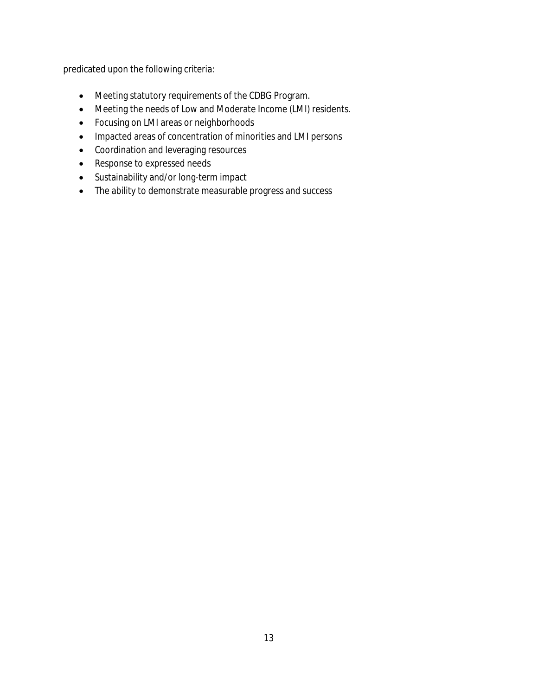predicated upon the following criteria:

- Meeting statutory requirements of the CDBG Program.
- Meeting the needs of Low and Moderate Income (LMI) residents.
- Focusing on LMI areas or neighborhoods
- Impacted areas of concentration of minorities and LMI persons
- Coordination and leveraging resources
- Response to expressed needs
- Sustainability and/or long-term impact
- The ability to demonstrate measurable progress and success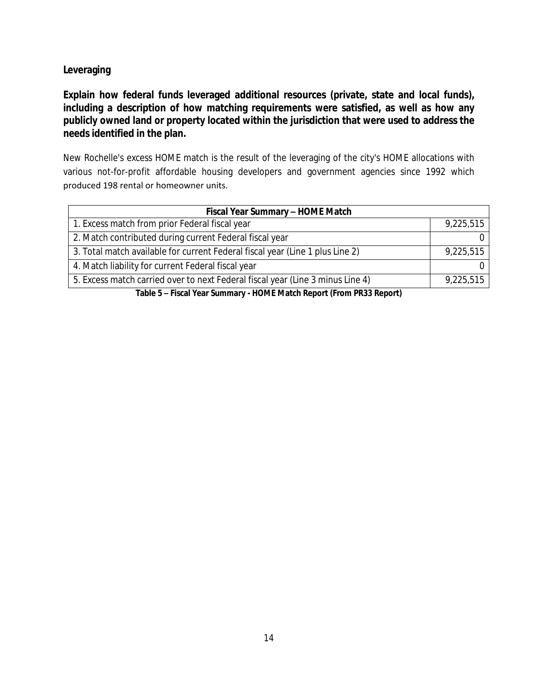### **Leveraging**

**Explain how federal funds leveraged additional resources (private, state and local funds), including a description of how matching requirements were satisfied, as well as how any publicly owned land or property located within the jurisdiction that were used to address the needs identified in the plan.**

New Rochelle's excess HOME match is the result of the leveraging of the city's HOME allocations with various not-for-profit affordable housing developers and government agencies since 1992 which produced 198 rental or homeowner units.

| Fiscal Year Summary - HOME Match                                               |           |  |  |  |  |
|--------------------------------------------------------------------------------|-----------|--|--|--|--|
| 1. Excess match from prior Federal fiscal year                                 | 9,225,515 |  |  |  |  |
| 2. Match contributed during current Federal fiscal year                        |           |  |  |  |  |
| 3. Total match available for current Federal fiscal year (Line 1 plus Line 2)  | 9,225,515 |  |  |  |  |
| 4. Match liability for current Federal fiscal year                             |           |  |  |  |  |
| 5. Excess match carried over to next Federal fiscal year (Line 3 minus Line 4) | 9,225,515 |  |  |  |  |

**Table 5 – Fiscal Year Summary - HOME Match Report (From PR33 Report)**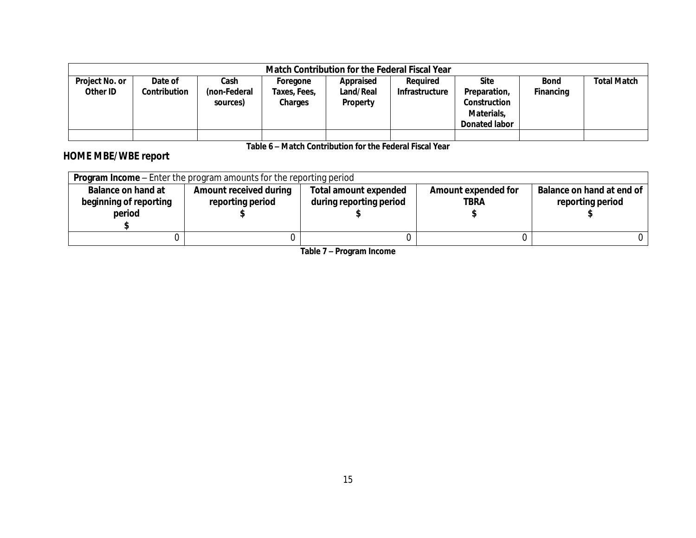|                            | Match Contribution for the Federal Fiscal Year |                                  |                                     |                                    |                            |                                                                            |                          |                    |  |  |
|----------------------------|------------------------------------------------|----------------------------------|-------------------------------------|------------------------------------|----------------------------|----------------------------------------------------------------------------|--------------------------|--------------------|--|--|
| Project No. or<br>Other ID | Date of<br>Contribution                        | Cash<br>(non-Federal<br>sources) | Foregone<br>Taxes, Fees,<br>Charges | Appraised<br>Land/Real<br>Property | Reauired<br>Infrastructure | <b>Site</b><br>Preparation,<br>Construction<br>Materials,<br>Donated labor | <b>Bond</b><br>Financing | <b>Total Match</b> |  |  |
|                            |                                                |                                  |                                     |                                    |                            |                                                                            |                          |                    |  |  |

**Table 6 – Match Contribution for the Federal Fiscal Year**

# **HOME MBE/WBE report**

| <b>Program Income</b> – Enter the program amounts for the reporting period |                               |                              |                     |                           |  |  |  |  |
|----------------------------------------------------------------------------|-------------------------------|------------------------------|---------------------|---------------------------|--|--|--|--|
| <b>Balance on hand at</b>                                                  | <b>Amount received during</b> | <b>Total amount expended</b> | Amount expended for | Balance on hand at end of |  |  |  |  |
| during reporting period<br>beginning of reporting<br>reporting period      |                               | <b>TBRA</b>                  | reporting period    |                           |  |  |  |  |
| period                                                                     |                               |                              |                     |                           |  |  |  |  |
|                                                                            |                               |                              |                     |                           |  |  |  |  |
|                                                                            |                               |                              |                     |                           |  |  |  |  |

**Table 7 – Program Income**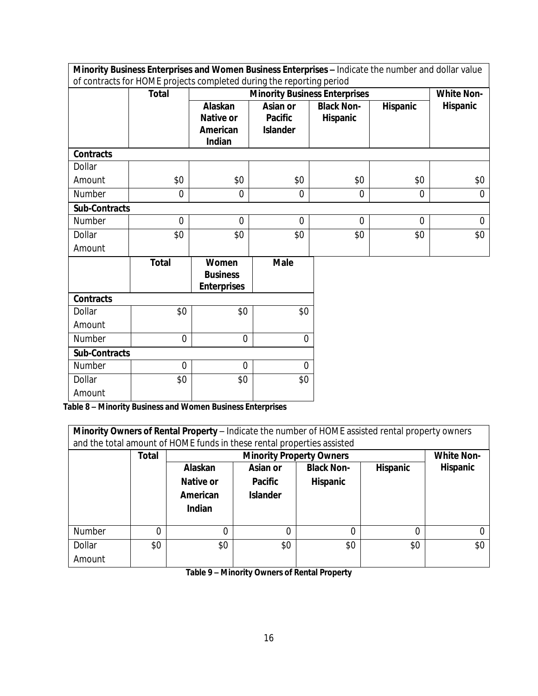|                      | Minority Business Enterprises and Women Business Enterprises - Indicate the number and dollar value |                    |                 |                                      |                |                   |  |  |
|----------------------|-----------------------------------------------------------------------------------------------------|--------------------|-----------------|--------------------------------------|----------------|-------------------|--|--|
|                      | of contracts for HOME projects completed during the reporting period                                |                    |                 |                                      |                |                   |  |  |
|                      | <b>Total</b>                                                                                        |                    |                 | <b>Minority Business Enterprises</b> |                | <b>White Non-</b> |  |  |
|                      |                                                                                                     | Alaskan            | Asian or        | <b>Black Non-</b>                    | Hispanic       | <b>Hispanic</b>   |  |  |
|                      |                                                                                                     | <b>Native or</b>   | <b>Pacific</b>  | Hispanic                             |                |                   |  |  |
|                      |                                                                                                     | American           | <b>Islander</b> |                                      |                |                   |  |  |
|                      |                                                                                                     | Indian             |                 |                                      |                |                   |  |  |
| <b>Contracts</b>     |                                                                                                     |                    |                 |                                      |                |                   |  |  |
| Dollar               |                                                                                                     |                    |                 |                                      |                |                   |  |  |
| Amount               | \$0                                                                                                 | \$0                | \$0             | \$0                                  | \$0            | \$0               |  |  |
| Number               | $\mathbf 0$                                                                                         | $\overline{0}$     | $\overline{0}$  | $\overline{0}$                       | $\overline{0}$ | $\overline{0}$    |  |  |
| <b>Sub-Contracts</b> |                                                                                                     |                    |                 |                                      |                |                   |  |  |
| Number               | $\overline{0}$                                                                                      | $\Omega$           | $\Omega$        | $\Omega$                             | $\Omega$       | $\Omega$          |  |  |
| Dollar               | \$0                                                                                                 | \$0                | \$0             | \$0                                  | \$0            | \$0               |  |  |
| Amount               |                                                                                                     |                    |                 |                                      |                |                   |  |  |
|                      | <b>Total</b>                                                                                        | Women              | <b>Male</b>     |                                      |                |                   |  |  |
|                      |                                                                                                     | <b>Business</b>    |                 |                                      |                |                   |  |  |
|                      |                                                                                                     | <b>Enterprises</b> |                 |                                      |                |                   |  |  |
| <b>Contracts</b>     |                                                                                                     |                    |                 |                                      |                |                   |  |  |
| Dollar               | \$0                                                                                                 | \$0                | \$0             |                                      |                |                   |  |  |
| Amount               |                                                                                                     |                    |                 |                                      |                |                   |  |  |
| Number               | $\mathbf 0$                                                                                         | $\mathbf 0$        | $\overline{0}$  |                                      |                |                   |  |  |
| <b>Sub-Contracts</b> |                                                                                                     |                    |                 |                                      |                |                   |  |  |
| Number               | $\Omega$                                                                                            | $\Omega$           | $\Omega$        |                                      |                |                   |  |  |
| Dollar               | \$0                                                                                                 | \$0                | \$0             |                                      |                |                   |  |  |
| Amount               |                                                                                                     |                    |                 |                                      |                |                   |  |  |

**Table 8 – Minority Business and Women Business Enterprises**

| Minority Owners of Rental Property - Indicate the number of HOME assisted rental property owners<br>and the total amount of HOME funds in these rental properties assisted |              |           |                                   |                   |                 |                   |  |  |
|----------------------------------------------------------------------------------------------------------------------------------------------------------------------------|--------------|-----------|-----------------------------------|-------------------|-----------------|-------------------|--|--|
|                                                                                                                                                                            | <b>Total</b> |           | <b>Minority Property Owners</b>   |                   |                 | <b>White Non-</b> |  |  |
|                                                                                                                                                                            |              | Alaskan   | Asian or                          | <b>Black Non-</b> | <b>Hispanic</b> | <b>Hispanic</b>   |  |  |
|                                                                                                                                                                            |              | Native or | <b>Hispanic</b><br><b>Pacific</b> |                   |                 |                   |  |  |
|                                                                                                                                                                            |              | American  | <b>Islander</b>                   |                   |                 |                   |  |  |
|                                                                                                                                                                            |              | Indian    |                                   |                   |                 |                   |  |  |
| Number                                                                                                                                                                     | 0            |           |                                   | 0                 | 0               |                   |  |  |
|                                                                                                                                                                            |              |           |                                   |                   |                 | \$0               |  |  |
| Dollar                                                                                                                                                                     | \$0          |           | \$0<br>\$0<br>\$0<br>\$0          |                   |                 |                   |  |  |
| Amount                                                                                                                                                                     |              |           |                                   |                   |                 |                   |  |  |

**Table 9 – Minority Owners of Rental Property**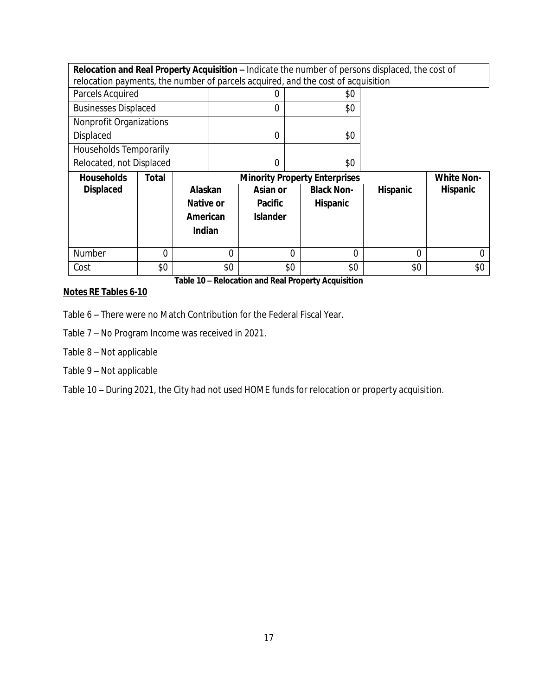| Relocation and Real Property Acquisition - Indicate the number of persons displaced, the cost of |       |                                                           |          |                 |          |                   |                 |                 |
|--------------------------------------------------------------------------------------------------|-------|-----------------------------------------------------------|----------|-----------------|----------|-------------------|-----------------|-----------------|
| relocation payments, the number of parcels acquired, and the cost of acquisition                 |       |                                                           |          |                 |          |                   |                 |                 |
| Parcels Acquired                                                                                 |       |                                                           |          |                 |          | \$0               |                 |                 |
| <b>Businesses Displaced</b>                                                                      |       |                                                           |          | 0               |          | \$0               |                 |                 |
| Nonprofit Organizations                                                                          |       |                                                           |          |                 |          |                   |                 |                 |
| <b>Displaced</b>                                                                                 |       |                                                           |          | $\Omega$        |          | \$0               |                 |                 |
| Households Temporarily                                                                           |       |                                                           |          |                 |          |                   |                 |                 |
| Relocated, not Displaced                                                                         |       |                                                           |          | $\overline{0}$  |          | \$0               |                 |                 |
| <b>Households</b>                                                                                | Total | <b>Minority Property Enterprises</b><br><b>White Non-</b> |          |                 |          |                   |                 |                 |
|                                                                                                  |       |                                                           |          |                 |          |                   |                 |                 |
| <b>Displaced</b>                                                                                 |       | Alaskan                                                   |          | Asian or        |          | <b>Black Non-</b> | <b>Hispanic</b> | <b>Hispanic</b> |
|                                                                                                  |       | Native or                                                 |          | <b>Pacific</b>  |          | Hispanic          |                 |                 |
|                                                                                                  |       | American                                                  |          | <b>Islander</b> |          |                   |                 |                 |
|                                                                                                  |       | <b>Indian</b>                                             |          |                 |          |                   |                 |                 |
|                                                                                                  |       |                                                           |          |                 |          |                   |                 |                 |
| <b>Number</b>                                                                                    | 0     |                                                           | $\Omega$ |                 | $\Omega$ | $\Omega$          | 0               | 0               |
| Cost                                                                                             | \$0   |                                                           | \$0      |                 | \$0      | \$0               | \$0             | \$0             |

## **Notes RE Tables 6-10**

Table 6 – There were no Match Contribution for the Federal Fiscal Year.

Table 7 – No Program Income was received in 2021.

Table 8 – Not applicable

Table 9 – Not applicable

Table 10 – During 2021, the City had not used HOME funds for relocation or property acquisition.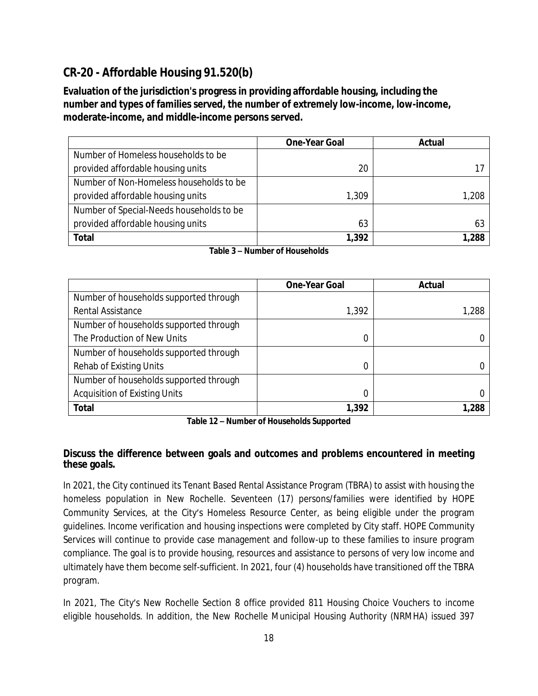# **CR-20 - Affordable Housing 91.520(b)**

**Evaluation of the jurisdiction's progress in providing affordable housing, including the number and types of families served, the number of extremely low-income, low-income, moderate-income, and middle-income persons served.**

|                                          | <b>One-Year Goal</b> | Actual |
|------------------------------------------|----------------------|--------|
| Number of Homeless households to be      |                      |        |
| provided affordable housing units        | 20                   |        |
| Number of Non-Homeless households to be  |                      |        |
| provided affordable housing units        | 1,309                | 1,208  |
| Number of Special-Needs households to be |                      |        |
| provided affordable housing units        | 63                   | 63     |
| <b>Total</b>                             | 1,392                | 288. ا |

|                                        | <b>One-Year Goal</b> | Actual |
|----------------------------------------|----------------------|--------|
| Number of households supported through |                      |        |
| Rental Assistance                      | 1,392                | 1,288  |
| Number of households supported through |                      |        |
| The Production of New Units            | 0                    |        |
| Number of households supported through |                      |        |
| Rehab of Existing Units                | 0                    |        |
| Number of households supported through |                      |        |
| <b>Acquisition of Existing Units</b>   | 0                    |        |
| <b>Total</b>                           | 1,392                | .288   |

**Table 12 – Number of Households Supported**

#### **Discuss the difference between goals and outcomes and problems encountered in meeting these goals.**

In 2021, the City continued its Tenant Based Rental Assistance Program (TBRA) to assist with housing the homeless population in New Rochelle. Seventeen (17) persons/families were identified by HOPE Community Services, at the City's Homeless Resource Center, as being eligible under the program guidelines. Income verification and housing inspections were completed by City staff. HOPE Community Services will continue to provide case management and follow-up to these families to insure program compliance. The goal is to provide housing, resources and assistance to persons of very low income and ultimately have them become self-sufficient. In 2021, four (4) households have transitioned off the TBRA program.

In 2021, The City's New Rochelle Section 8 office provided 811 Housing Choice Vouchers to income eligible households. In addition, the New Rochelle Municipal Housing Authority (NRMHA) issued 397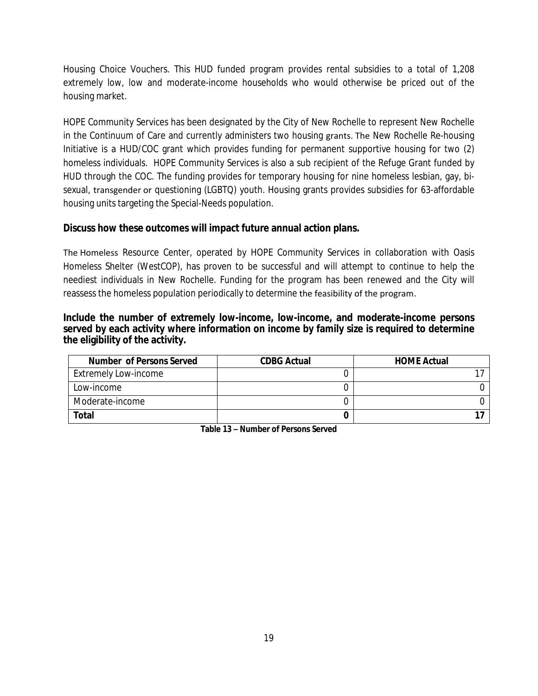Housing Choice Vouchers. This HUD funded program provides rental subsidies to a total of 1,208 extremely low, low and moderate-income households who would otherwise be priced out of the housing market.

HOPE Community Services has been designated by the City of New Rochelle to represent New Rochelle in the Continuum of Care and currently administers two housing grants. The New Rochelle Re-housing Initiative is a HUD/COC grant which provides funding for permanent supportive housing for two (2) homeless individuals. HOPE Community Services is also a sub recipient of the Refuge Grant funded by HUD through the COC. The funding provides for temporary housing for nine homeless lesbian, gay, bisexual, transgender or questioning (LGBTQ) youth. Housing grants provides subsidies for 63-affordable housing units targeting the Special-Needs population.

### **Discuss how these outcomes will impact future annual action plans.**

The Homeless Resource Center, operated by HOPE Community Services in collaboration with Oasis Homeless Shelter (WestCOP), has proven to be successful and will attempt to continue to help the neediest individuals in New Rochelle. Funding for the program has been renewed and the City will reassess the homeless population periodically to determine the feasibility of the program.

#### **Include the number of extremely low-income, low-income, and moderate-income persons served by each activity where information on income by family size is required to determine the eligibility of the activity.**

| <b>Number of Persons Served</b> | <b>CDBG Actual</b> | <b>HOME Actual</b> |
|---------------------------------|--------------------|--------------------|
| Extremely Low-income            |                    |                    |
| Low-income                      |                    |                    |
| Moderate-income                 |                    |                    |
| Total                           |                    |                    |

**Table 13 – Number of Persons Served**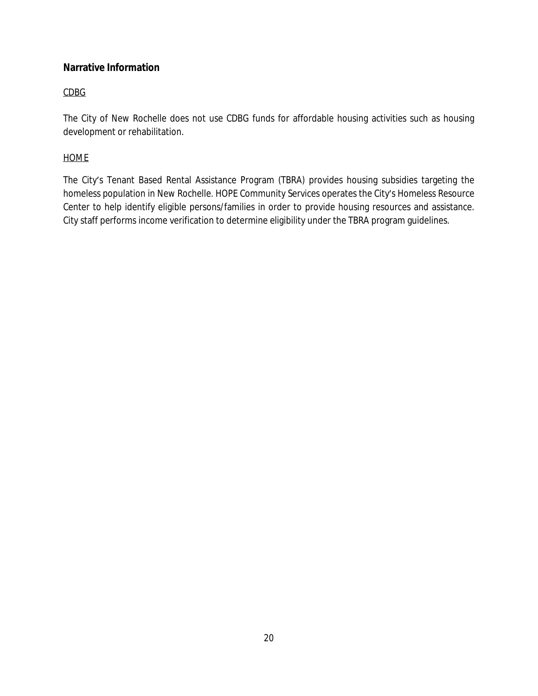## **Narrative Information**

## CDBG

The City of New Rochelle does not use CDBG funds for affordable housing activities such as housing development or rehabilitation.

### HOME

The City's Tenant Based Rental Assistance Program (TBRA) provides housing subsidies targeting the homeless population in New Rochelle. HOPE Community Services operates the City's Homeless Resource Center to help identify eligible persons/families in order to provide housing resources and assistance. City staff performs income verification to determine eligibility under the TBRA program guidelines.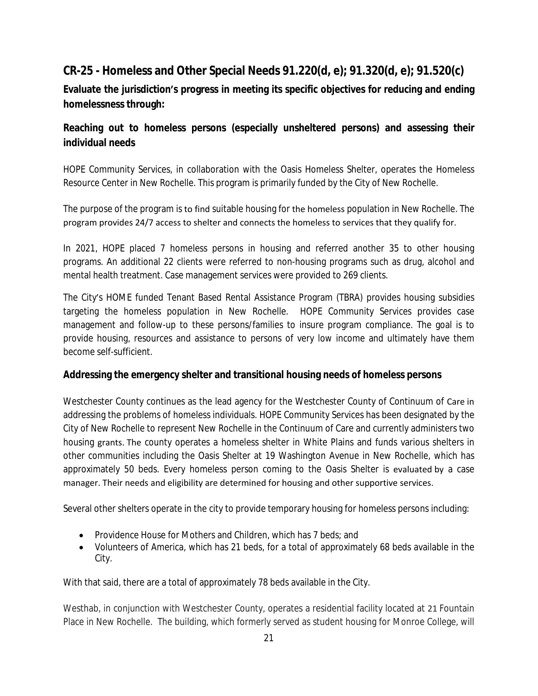# **CR-25 - Homeless and Other Special Needs 91.220(d, e); 91.320(d, e); 91.520(c)**

**Evaluate the jurisdiction's progress in meeting its specific objectives for reducing and ending homelessness through:**

## **Reaching out to homeless persons (especially unsheltered persons) and assessing their individual needs**

HOPE Community Services, in collaboration with the Oasis Homeless Shelter, operates the Homeless Resource Center in New Rochelle. This program is primarily funded by the City of New Rochelle.

The purpose of the program is to find suitable housing for the homeless population in New Rochelle. The program provides 24/7 access to shelter and connects the homeless to services that they qualify for.

In 2021, HOPE placed 7 homeless persons in housing and referred another 35 to other housing programs. An additional 22 clients were referred to non-housing programs such as drug, alcohol and mental health treatment. Case management services were provided to 269 clients.

The City's HOME funded Tenant Based Rental Assistance Program (TBRA) provides housing subsidies targeting the homeless population in New Rochelle. HOPE Community Services provides case management and follow-up to these persons/families to insure program compliance. The goal is to provide housing, resources and assistance to persons of very low income and ultimately have them become self-sufficient.

### **Addressing the emergency shelter and transitional housing needs of homeless persons**

Westchester County continues as the lead agency for the Westchester County of Continuum of Care in addressing the problems of homeless individuals. HOPE Community Services has been designated by the City of New Rochelle to represent New Rochelle in the Continuum of Care and currently administers two housing grants. The county operates a homeless shelter in White Plains and funds various shelters in other communities including the Oasis Shelter at 19 Washington Avenue in New Rochelle, which has approximately 50 beds. Every homeless person coming to the Oasis Shelter is evaluated by a case manager. Their needs and eligibility are determined for housing and other supportive services.

Several other shelters operate in the city to provide temporary housing for homeless persons including:

- Providence House for Mothers and Children, which has 7 beds; and
- Volunteers of America, which has 21 beds, for a total of approximately 68 beds available in the City.

With that said, there are a total of approximately 78 beds available in the City.

Westhab, in conjunction with Westchester County, operates a residential facility located at 21 Fountain Place in New Rochelle. The building, which formerly served as student housing for Monroe College, will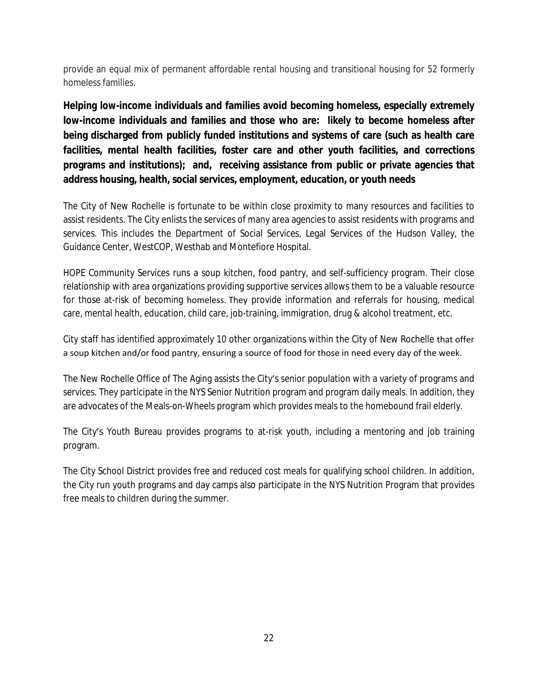provide an equal mix of permanent affordable rental housing and transitional housing for 52 formerly homeless families.

**Helping low-income individuals and families avoid becoming homeless, especially extremely low-income individuals and families and those who are: likely to become homeless after being discharged from publicly funded institutions and systems of care (such as health care facilities, mental health facilities, foster care and other youth facilities, and corrections programs and institutions); and, receiving assistance from public or private agencies that address housing, health, social services, employment, education, or youth needs**

The City of New Rochelle is fortunate to be within close proximity to many resources and facilities to assist residents. The City enlists the services of many area agencies to assist residents with programs and services. This includes the Department of Social Services, Legal Services of the Hudson Valley, the Guidance Center, WestCOP, Westhab and Montefiore Hospital.

HOPE Community Services runs a soup kitchen, food pantry, and self-sufficiency program. Their close relationship with area organizations providing supportive services allows them to be a valuable resource for those at-risk of becoming homeless. They provide information and referrals for housing, medical care, mental health, education, child care, job-training, immigration, drug & alcohol treatment, etc.

City staff has identified approximately 10 other organizations within the City of New Rochelle that offer a soup kitchen and/or food pantry, ensuring a source of food for those in need every day of the week.

The New Rochelle Office of The Aging assists the City's senior population with a variety of programs and services. They participate in the NYS Senior Nutrition program and program daily meals. In addition, they are advocates of the Meals-on-Wheels program which provides meals to the homebound frail elderly.

The City's Youth Bureau provides programs to at-risk youth, including a mentoring and job training program.

The City School District provides free and reduced cost meals for qualifying school children. In addition, the City run youth programs and day camps also participate in the NYS Nutrition Program that provides free meals to children during the summer.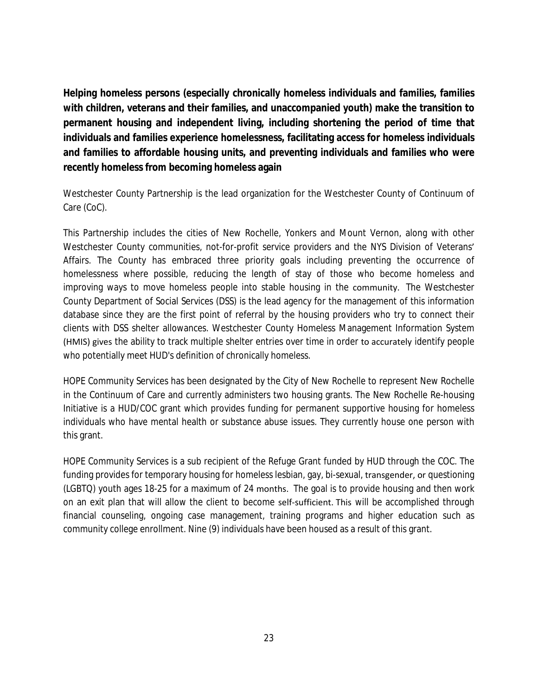**Helping homeless persons (especially chronically homeless individuals and families, families with children, veterans and their families, and unaccompanied youth) make the transition to permanent housing and independent living, including shortening the period of time that individuals and families experience homelessness, facilitating access for homeless individuals and families to affordable housing units, and preventing individuals and families who were recently homeless from becoming homeless again**

Westchester County Partnership is the lead organization for the Westchester County of Continuum of Care (CoC).

This Partnership includes the cities of New Rochelle, Yonkers and Mount Vernon, along with other Westchester County communities, not-for-profit service providers and the NYS Division of Veterans' Affairs. The County has embraced three priority goals including preventing the occurrence of homelessness where possible, reducing the length of stay of those who become homeless and improving ways to move homeless people into stable housing in the community. The Westchester County Department of Social Services (DSS) is the lead agency for the management of this information database since they are the first point of referral by the housing providers who try to connect their clients with DSS shelter allowances. Westchester County Homeless Management Information System (HMIS) gives the ability to track multiple shelter entries over time in order to accurately identify people who potentially meet HUD's definition of chronically homeless.

HOPE Community Services has been designated by the City of New Rochelle to represent New Rochelle in the Continuum of Care and currently administers two housing grants. The New Rochelle Re-housing Initiative is a HUD/COC grant which provides funding for permanent supportive housing for homeless individuals who have mental health or substance abuse issues. They currently house one person with this grant.

HOPE Community Services is a sub recipient of the Refuge Grant funded by HUD through the COC. The funding provides for temporary housing for homeless lesbian, gay, bi-sexual, transgender, or questioning (LGBTQ) youth ages 18-25 for a maximum of 24 months. The goal is to provide housing and then work on an exit plan that will allow the client to become self-sufficient. This will be accomplished through financial counseling, ongoing case management, training programs and higher education such as community college enrollment. Nine (9) individuals have been housed as a result of this grant.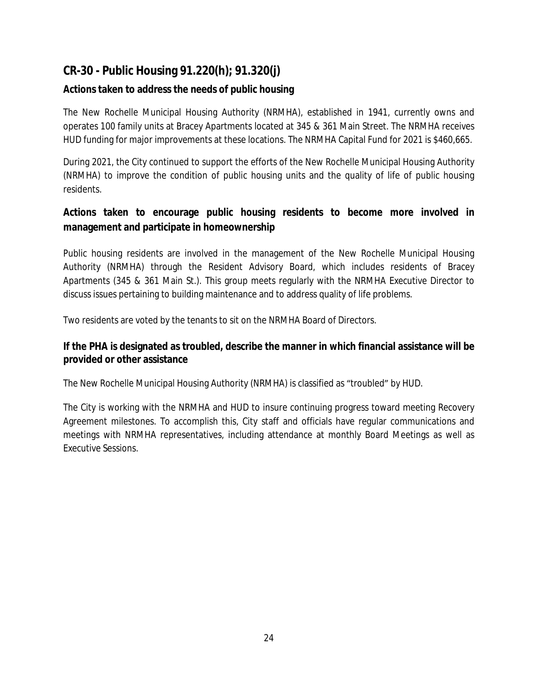# **CR-30 - Public Housing 91.220(h); 91.320(j)**

## **Actions taken to address the needs of public housing**

The New Rochelle Municipal Housing Authority (NRMHA), established in 1941, currently owns and operates 100 family units at Bracey Apartments located at 345 & 361 Main Street. The NRMHA receives HUD funding for major improvements at these locations. The NRMHA Capital Fund for 2021 is \$460,665.

During 2021, the City continued to support the efforts of the New Rochelle Municipal Housing Authority (NRMHA) to improve the condition of public housing units and the quality of life of public housing residents.

## **Actions taken to encourage public housing residents to become more involved in management and participate in homeownership**

Public housing residents are involved in the management of the New Rochelle Municipal Housing Authority (NRMHA) through the Resident Advisory Board, which includes residents of Bracey Apartments (345 & 361 Main St.). This group meets regularly with the NRMHA Executive Director to discuss issues pertaining to building maintenance and to address quality of life problems.

Two residents are voted by the tenants to sit on the NRMHA Board of Directors.

## **If the PHA is designated as troubled, describe the manner in which financial assistance will be provided or other assistance**

The New Rochelle Municipal Housing Authority (NRMHA) is classified as "troubled" by HUD.

The City is working with the NRMHA and HUD to insure continuing progress toward meeting Recovery Agreement milestones. To accomplish this, City staff and officials have regular communications and meetings with NRMHA representatives, including attendance at monthly Board Meetings as well as Executive Sessions.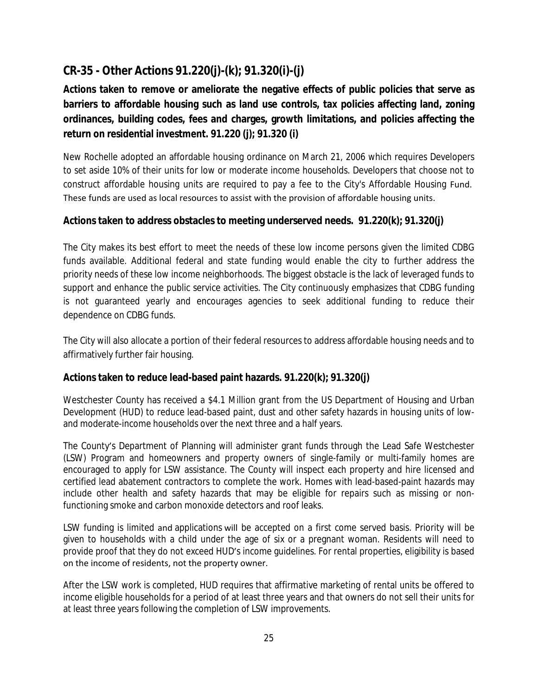# **CR-35 - Other Actions 91.220(j)-(k); 91.320(i)-(j)**

# **Actions taken to remove or ameliorate the negative effects of public policies that serve as barriers to affordable housing such as land use controls, tax policies affecting land, zoning ordinances, building codes, fees and charges, growth limitations, and policies affecting the return on residential investment. 91.220 (j); 91.320 (i)**

New Rochelle adopted an affordable housing ordinance on March 21, 2006 which requires Developers to set aside 10% of their units for low or moderate income households. Developers that choose not to construct affordable housing units are required to pay a fee to the City's Affordable Housing Fund. These funds are used as local resources to assist with the provision of affordable housing units.

### **Actions taken to address obstacles to meeting underserved needs. 91.220(k); 91.320(j)**

The City makes its best effort to meet the needs of these low income persons given the limited CDBG funds available. Additional federal and state funding would enable the city to further address the priority needs of these low income neighborhoods. The biggest obstacle is the lack of leveraged funds to support and enhance the public service activities. The City continuously emphasizes that CDBG funding is not guaranteed yearly and encourages agencies to seek additional funding to reduce their dependence on CDBG funds.

The City will also allocate a portion of their federal resources to address affordable housing needs and to affirmatively further fair housing.

### **Actions taken to reduce lead-based paint hazards. 91.220(k); 91.320(j)**

Westchester County has received a \$4.1 Million grant from the US Department of Housing and Urban Development (HUD) to reduce lead-based paint, dust and other safety hazards in housing units of lowand moderate-income households over the next three and a half years.

The County's Department of Planning will administer grant funds through the Lead Safe Westchester (LSW) Program and homeowners and property owners of single-family or multi-family homes are encouraged to apply for LSW assistance. The County will inspect each property and hire licensed and certified lead abatement contractors to complete the work. Homes with lead-based-paint hazards may include other health and safety hazards that may be eligible for repairs such as missing or nonfunctioning smoke and carbon monoxide detectors and roof leaks.

LSW funding is limited and [applications](https://homes.westchestergov.com/images/stories/pdfs/lsw92519app.pdf) will be accepted on a first come served basis. Priority will be given to households with a child under the age of six or a pregnant woman. Residents will need to provide proof that they do not exceed HUD's income guidelines. For rental properties, eligibility is based on the income of residents, not the property owner.

After the LSW work is completed, HUD requires that affirmative marketing of rental units be offered to income eligible households for a period of at least three years and that owners do not sell their units for at least three years following the completion of LSW improvements.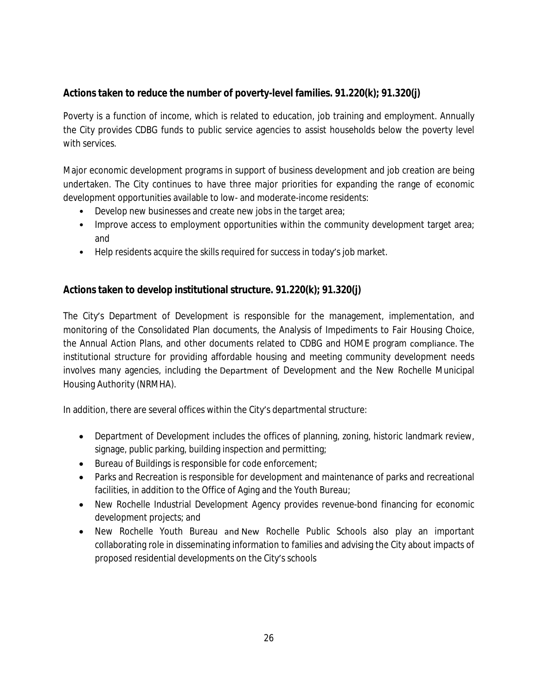## **Actions taken to reduce the number of poverty-level families. 91.220(k); 91.320(j)**

Poverty is a function of income, which is related to education, job training and employment. Annually the City provides CDBG funds to public service agencies to assist households below the poverty level with services.

Major economic development programs in support of business development and job creation are being undertaken. The City continues to have three major priorities for expanding the range of economic development opportunities available to low- and moderate-income residents:

- Develop new businesses and create new jobs in the target area;
- Improve access to employment opportunities within the community development target area; and
- Help residents acquire the skills required for success in today's job market.

### **Actions taken to develop institutional structure. 91.220(k); 91.320(j)**

The City's Department of Development is responsible for the management, implementation, and monitoring of the Consolidated Plan documents, the Analysis of Impediments to Fair Housing Choice, the Annual Action Plans, and other documents related to CDBG and HOME program compliance. The institutional structure for providing affordable housing and meeting community development needs involves many agencies, including the Department of Development and the New Rochelle Municipal Housing Authority (NRMHA).

In addition, there are several offices within the City's departmental structure:

- Department of Development includes the offices of planning, zoning, historic landmark review, signage, public parking, building inspection and permitting;
- **Bureau of Buildings is responsible for code enforcement;**
- Parks and Recreation is responsible for development and maintenance of parks and recreational facilities, in addition to the Office of Aging and the Youth Bureau;
- New Rochelle Industrial Development Agency provides revenue-bond financing for economic development projects; and
- New Rochelle Youth Bureau and New Rochelle Public Schools also play an important collaborating role in disseminating information to families and advising the City about impacts of proposed residential developments on the City's schools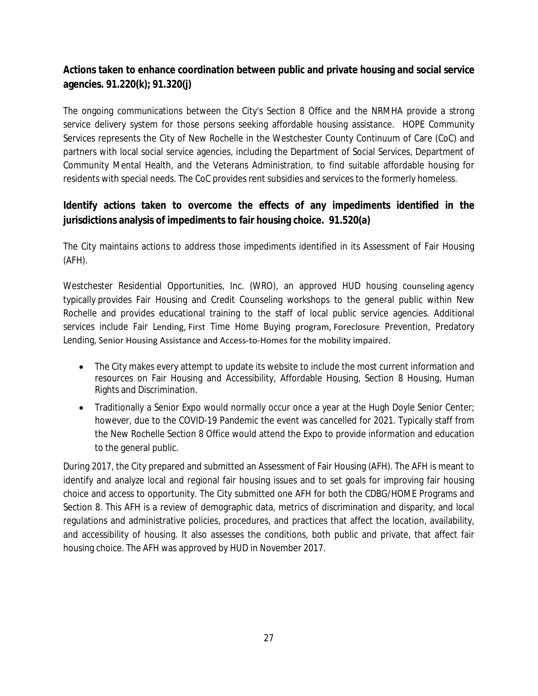## **Actions taken to enhance coordination between public and private housing and social service agencies. 91.220(k); 91.320(j)**

The ongoing communications between the City's Section 8 Office and the NRMHA provide a strong service delivery system for those persons seeking affordable housing assistance. HOPE Community Services represents the City of New Rochelle in the Westchester County Continuum of Care (CoC) and partners with local social service agencies, including the Department of Social Services, Department of Community Mental Health, and the Veterans Administration, to find suitable affordable housing for residents with special needs. The CoC provides rent subsidies and services to the formerly homeless.

## **Identify actions taken to overcome the effects of any impediments identified in the jurisdictions analysis of impediments to fair housing choice. 91.520(a)**

The City maintains actions to address those impediments identified in its Assessment of Fair Housing (AFH).

Westchester Residential Opportunities, Inc. (WRO), an approved HUD housing counseling agency typically provides Fair Housing and Credit Counseling workshops to the general public within New Rochelle and provides educational training to the staff of local public service agencies. Additional services include Fair Lending, First Time Home Buying program, Foreclosure Prevention, Predatory Lending, Senior Housing Assistance and Access-to-Homes for the mobility impaired.

- The City makes every attempt to update its website to include the most current information and resources on Fair Housing and Accessibility, Affordable Housing, Section 8 Housing, Human Rights and Discrimination.
- Traditionally a Senior Expo would normally occur once a year at the Hugh Doyle Senior Center; however, due to the COVID-19 Pandemic the event was cancelled for 2021. Typically staff from the New Rochelle Section 8 Office would attend the Expo to provide information and education to the general public.

During 2017, the City prepared and submitted an Assessment of Fair Housing (AFH). The AFH is meant to identify and analyze local and regional fair housing issues and to set goals for improving fair housing choice and access to opportunity. The City submitted one AFH for both the CDBG/HOME Programs and Section 8. This AFH is a review of demographic data, metrics of discrimination and disparity, and local regulations and administrative policies, procedures, and practices that affect the location, availability, and accessibility of housing. It also assesses the conditions, both public and private, that affect fair housing choice. The AFH was approved by HUD in November 2017.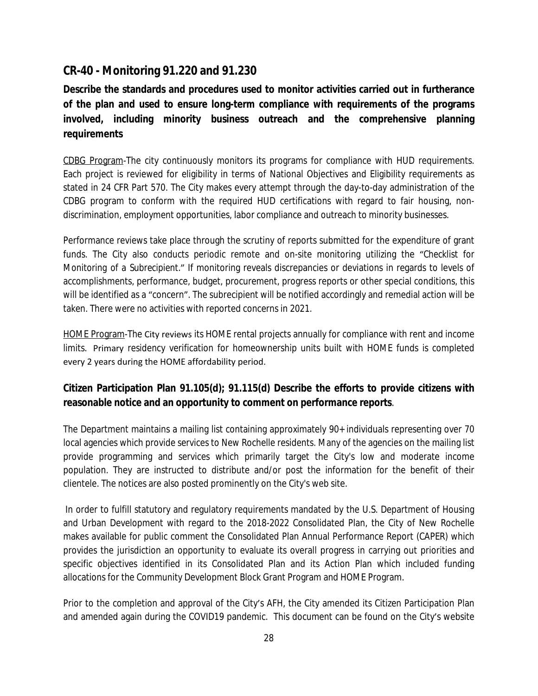## **CR-40 - Monitoring 91.220 and 91.230**

**Describe the standards and procedures used to monitor activities carried out in furtherance of the plan and used to ensure long-term compliance with requirements of the programs involved, including minority business outreach and the comprehensive planning requirements**

CDBG Program-The city continuously monitors its programs for compliance with HUD requirements. Each project is reviewed for eligibility in terms of National Objectives and Eligibility requirements as stated in 24 CFR Part 570. The City makes every attempt through the day-to-day administration of the CDBG program to conform with the required HUD certifications with regard to fair housing, nondiscrimination, employment opportunities, labor compliance and outreach to minority businesses.

Performance reviews take place through the scrutiny of reports submitted for the expenditure of grant funds. The City also conducts periodic remote and on-site monitoring utilizing the "*Checklist for Monitoring of a Subrecipient*." If monitoring reveals discrepancies or deviations in regards to levels of accomplishments, performance, budget, procurement, progress reports or other special conditions, this will be identified as a "concern". The subrecipient will be notified accordingly and remedial action will be taken. There were no activities with reported concerns in 2021.

HOME Program-The City reviews its HOME rental projects annually for compliance with rent and income limits. Primary residency verification for homeownership units built with HOME funds is completed every 2 years during the HOME affordability period.

## **Citizen Participation Plan 91.105(d); 91.115(d) Describe the efforts to provide citizens with reasonable notice and an opportunity to comment on performance reports**.

The Department maintains a mailing list containing approximately 90+ individuals representing over 70 local agencies which provide services to New Rochelle residents. Many of the agencies on the mailing list provide programming and services which primarily target the City's low and moderate income population. They are instructed to distribute and/or post the information for the benefit of their clientele. The notices are also posted prominently on the City's web site.

In order to fulfill statutory and regulatory requirements mandated by the U.S. Department of Housing and Urban Development with regard to the 2018-2022 Consolidated Plan, the City of New Rochelle makes available for public comment the Consolidated Plan Annual Performance Report (CAPER) which provides the jurisdiction an opportunity to evaluate its overall progress in carrying out priorities and specific objectives identified in its Consolidated Plan and its Action Plan which included funding allocations for the Community Development Block Grant Program and HOME Program.

Prior to the completion and approval of the City's AFH, the City amended its Citizen Participation Plan and amended again during the COVID19 pandemic. This document can be found on the City's website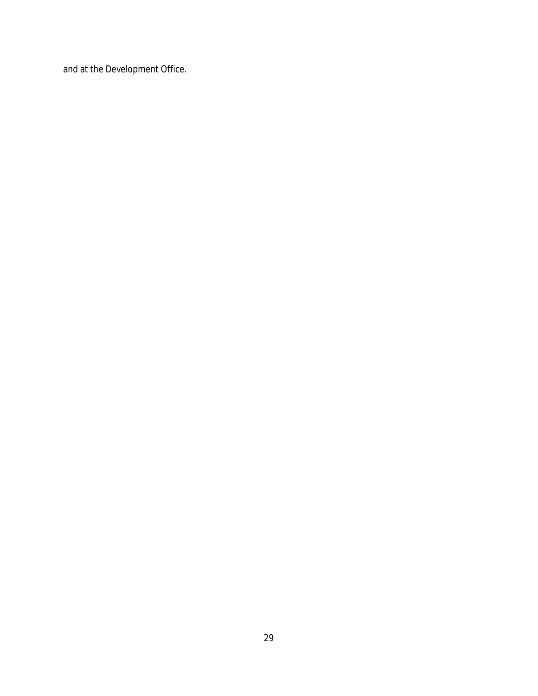and at the Development Office.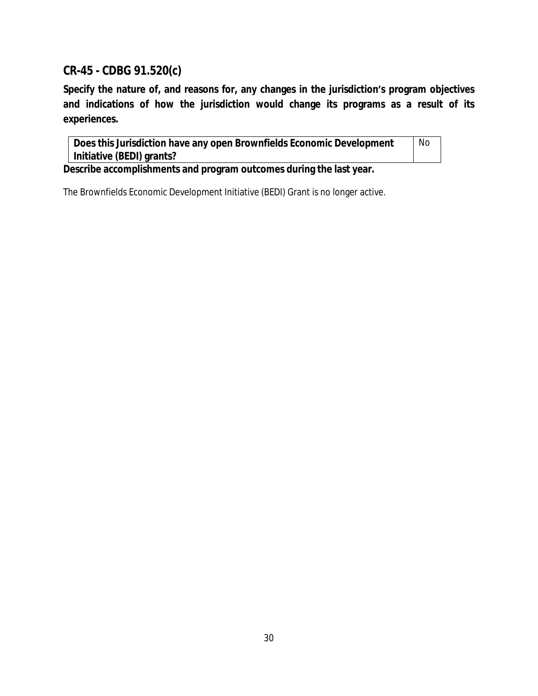# **CR-45 - CDBG 91.520(c)**

**Specify the nature of, and reasons for, any changes in the jurisdiction's program objectives and indications of how the jurisdiction would change its programs as a result of its experiences.**

| Does this Jurisdiction have any open Brownfields Economic Development |  |  |
|-----------------------------------------------------------------------|--|--|
| Initiative (BEDI) grants?                                             |  |  |

**Describe accomplishments and program outcomes during the last year.**

The Brownfields Economic Development Initiative (BEDI) Grant is no longer active.